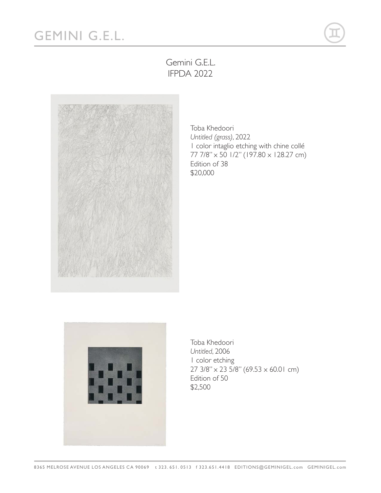## GEMINI G.E.L.



## Gemini G.E.L. IFPDA 2022



Toba Khedoori *Untitled (grass)*, 2022 1 color intaglio etching with chine collé 77 7/8" x 50 1/2" (197.80 x 128.27 cm) Edition of 38 \$20,000



Toba Khedoori *Untitled*, 2006 1 color etching  $27 \frac{3}{8}$ " x 23 5/8" (69.53 x 60.01 cm) Edition of 50 \$2,500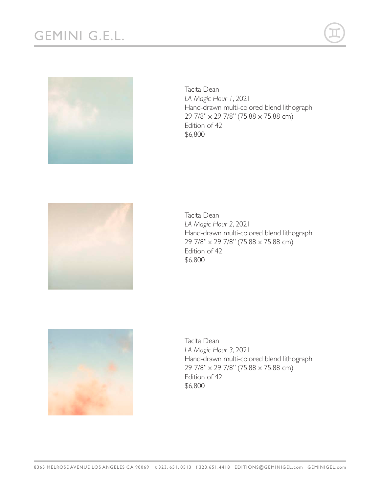



Tacita Dean *LA Magic Hour 1*, 2021 Hand-drawn multi-colored blend lithograph 29 7/8" x 29 7/8" (75.88 x 75.88 cm) Edition of 42 \$6,800



Tacita Dean *LA Magic Hour 2*, 2021 Hand-drawn multi-colored blend lithograph 29 7/8" x 29 7/8" (75.88 x 75.88 cm) Edition of 42 \$6,800



Tacita Dean *LA Magic Hour 3*, 2021 Hand-drawn multi-colored blend lithograph 29 7/8" x 29 7/8" (75.88 x 75.88 cm) Edition of 42 \$6,800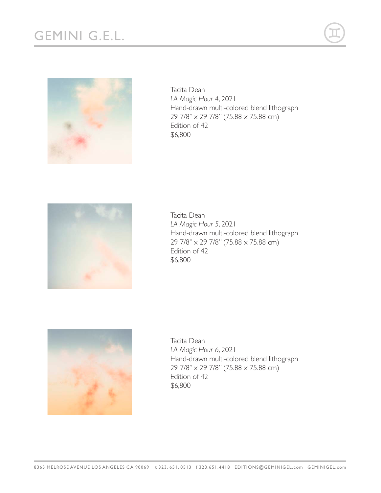

Tacita Dean *LA Magic Hour 4*, 2021 Hand-drawn multi-colored blend lithograph 29 7/8" x 29 7/8" (75.88 x 75.88 cm) Edition of 42 \$6,800



Tacita Dean *LA Magic Hour 5*, 2021 Hand-drawn multi-colored blend lithograph 29 7/8" x 29 7/8" (75.88 x 75.88 cm) Edition of 42 \$6,800



Tacita Dean *LA Magic Hour 6*, 2021 Hand-drawn multi-colored blend lithograph 29 7/8" x 29 7/8" (75.88 x 75.88 cm) Edition of 42 \$6,800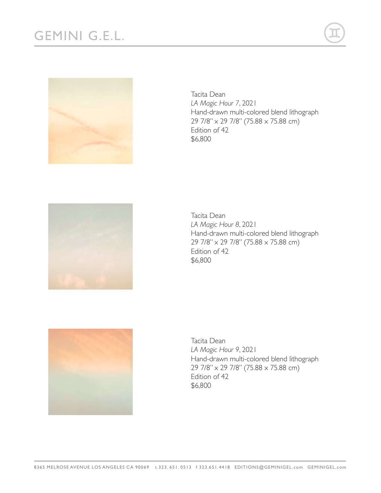



Tacita Dean *LA Magic Hour 7*, 2021 Hand-drawn multi-colored blend lithograph 29 7/8" x 29 7/8" (75.88 x 75.88 cm) Edition of 42 \$6,800



Tacita Dean *LA Magic Hour 8*, 2021 Hand-drawn multi-colored blend lithograph 29 7/8" x 29 7/8" (75.88 x 75.88 cm) Edition of 42 \$6,800



Tacita Dean *LA Magic Hour 9*, 2021 Hand-drawn multi-colored blend lithograph 29 7/8" x 29 7/8" (75.88 x 75.88 cm) Edition of 42 \$6,800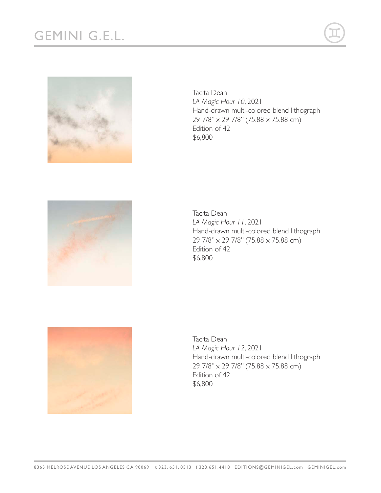



Tacita Dean *LA Magic Hour 10*, 2021 Hand-drawn multi-colored blend lithograph 29 7/8" x 29 7/8" (75.88 x 75.88 cm) Edition of 42 \$6,800



Tacita Dean *LA Magic Hour 11*, 2021 Hand-drawn multi-colored blend lithograph 29 7/8" x 29 7/8" (75.88 x 75.88 cm) Edition of 42 \$6,800



Tacita Dean *LA Magic Hour 12*, 2021 Hand-drawn multi-colored blend lithograph 29 7/8" x 29 7/8" (75.88 x 75.88 cm) Edition of 42 \$6,800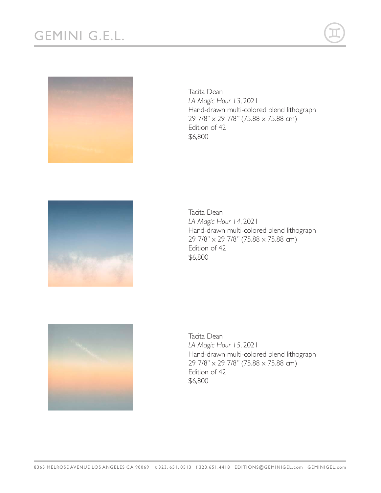



Tacita Dean *LA Magic Hour 13*, 2021 Hand-drawn multi-colored blend lithograph 29 7/8" x 29 7/8" (75.88 x 75.88 cm) Edition of 42 \$6,800



Tacita Dean *LA Magic Hour 14*, 2021 Hand-drawn multi-colored blend lithograph 29 7/8" x 29 7/8" (75.88 x 75.88 cm) Edition of 42 \$6,800



Tacita Dean *LA Magic Hour 15*, 2021 Hand-drawn multi-colored blend lithograph 29 7/8" x 29 7/8" (75.88 x 75.88 cm) Edition of 42 \$6,800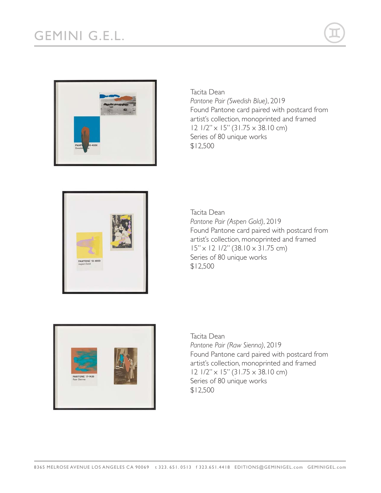



*Pantone Pair (Swedish Blue)*, 2019 Found Pantone card paired with postcard from artist's collection, monoprinted and framed 12 1/2" x 15" (31.75 x 38.10 cm) Series of 80 unique works \$12,500

Tacita Dean



Tacita Dean *Pantone Pair (Aspen Gold)*, 2019 Found Pantone card paired with postcard from artist's collection, monoprinted and framed 15" x 12 1/2" (38.10 x 31.75 cm) Series of 80 unique works \$12,500



Tacita Dean *Pantone Pair (Raw Sienna)*, 2019 Found Pantone card paired with postcard from artist's collection, monoprinted and framed 12 1/2" x 15" (31.75 x 38.10 cm) Series of 80 unique works \$12,500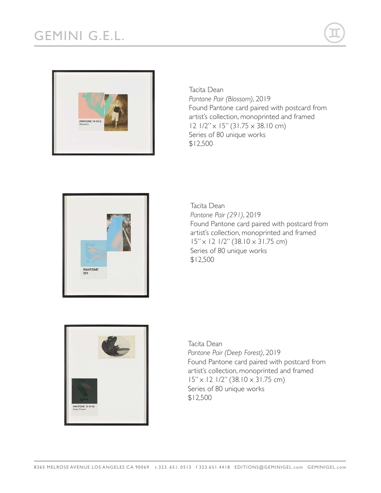

Tacita Dean *Pantone Pair (Blossom)*, 2019 Found Pantone card paired with postcard from artist's collection, monoprinted and framed 12 1/2" x 15" (31.75 x 38.10 cm) Series of 80 unique works \$12,500



Tacita Dean *Pantone Pair (291)*, 2019 Found Pantone card paired with postcard from artist's collection, monoprinted and framed 15" x 12 1/2" (38.10 x 31.75 cm) Series of 80 unique works \$12,500



Tacita Dean *Pantone Pair (Deep Forest)*, 2019 Found Pantone card paired with postcard from artist's collection, monoprinted and framed 15" x 12 1/2" (38.10 x 31.75 cm) Series of 80 unique works \$12,500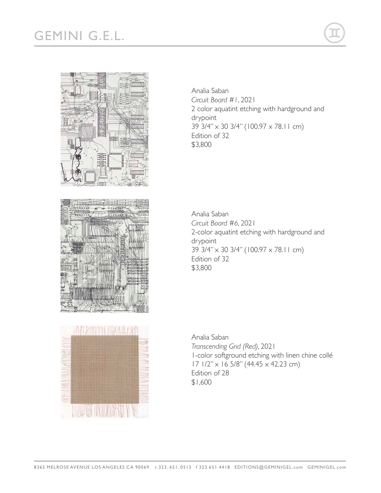## GEMINI G.E.L.







Analia Saban *Circuit Board #1*, 2021 2 color aquatint etching with hardground and drypoint 39 3/4" x 30 3/4" (100.97 x 78.11 cm) Edition of 32 \$3,800

Analia Saban *Circuit Board #6*, 2021 2-color aquatint etching with hardground and drypoint 39 3/4" x 30 3/4" (100.97 x 78.11 cm) Edition of 32 \$3,800

Analia Saban *Transcending Grid (Red)*, 2021 1-color softground etching with linen chine collé 17 1/2" x 16 5/8" (44.45 x 42.23 cm) Edition of 28 \$1,600